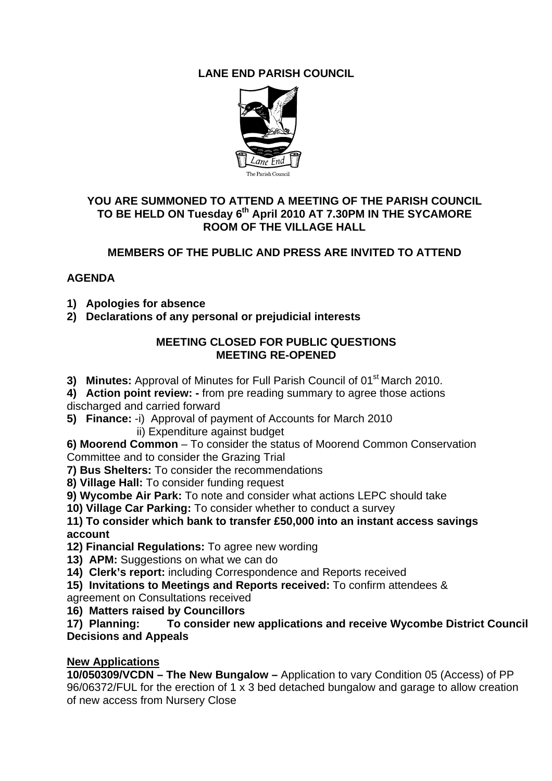# **LANE END PARISH COUNCIL**



#### **YOU ARE SUMMONED TO ATTEND A MEETING OF THE PARISH COUNCIL**  TO BE HELD ON Tuesday 6<sup>th</sup> April 2010 AT 7.30PM IN THE SYCAMORE **ROOM OF THE VILLAGE HALL**

## **MEMBERS OF THE PUBLIC AND PRESS ARE INVITED TO ATTEND**

### **AGENDA**

- **1) Apologies for absence**
- **2) Declarations of any personal or prejudicial interests**

### **MEETING CLOSED FOR PUBLIC QUESTIONS MEETING RE-OPENED**

- **3) Minutes:** Approval of Minutes for Full Parish Council of 01<sup>st</sup> March 2010.
- **4) Action point review:** from pre reading summary to agree those actions
- discharged and carried forward
- **5) Finance:** -i) Approval of payment of Accounts for March 2010 ii) Expenditure against budget
- **6) Moorend Common** To consider the status of Moorend Common Conservation Committee and to consider the Grazing Trial
- **7) Bus Shelters:** To consider the recommendations
- **8) Village Hall:** To consider funding request
- **9) Wycombe Air Park:** To note and consider what actions LEPC should take
- **10) Village Car Parking:** To consider whether to conduct a survey

**11) To consider which bank to transfer £50,000 into an instant access savings account** 

- **12) Financial Regulations:** To agree new wording
- **13) APM:** Suggestions on what we can do
- **14) Clerk's report:** including Correspondence and Reports received
- **15) Invitations to Meetings and Reports received:** To confirm attendees &
- agreement on Consultations received
- **16) Matters raised by Councillors**

**17) Planning: To consider new applications and receive Wycombe District Council Decisions and Appeals** 

### **New Applications**

**10/050309/VCDN – The New Bungalow –** Application to vary Condition 05 (Access) of PP 96/06372/FUL for the erection of 1 x 3 bed detached bungalow and garage to allow creation of new access from Nursery Close